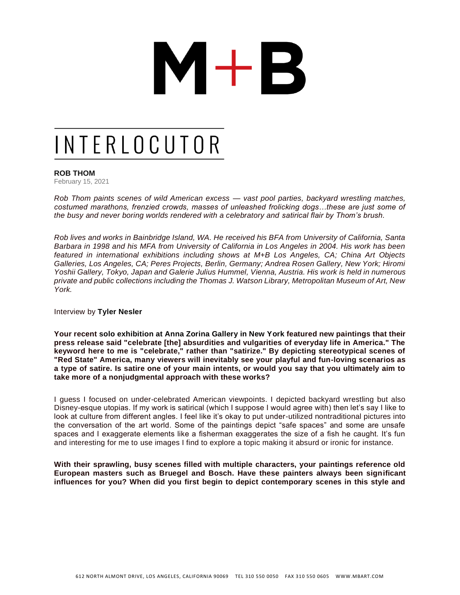# $M+B$

### INTERLOCUTOR

### **ROB THOM**

February 15, 2021

*Rob Thom paints scenes of wild American excess — vast pool parties, backyard wrestling matches, costumed marathons, frenzied crowds, masses of unleashed frolicking dogs…these are just some of the busy and never boring worlds rendered with a celebratory and satirical flair by Thom's brush.* 

*Rob lives and works in Bainbridge Island, WA. He received his BFA from University of California, Santa Barbara in 1998 and his MFA from University of California in Los Angeles in 2004. His work has been featured in international exhibitions including shows at M+B Los Angeles, CA; China Art Objects Galleries, Los Angeles, CA; Peres Projects, Berlin, Germany; Andrea Rosen Gallery, New York; Hiromi Yoshii Gallery, Tokyo, Japan and Galerie Julius Hummel, Vienna, Austria. His work is held in numerous private and public collections including the Thomas J. Watson Library, Metropolitan Museum of Art, New York.*

Interview by **[Tyler Nesler](https://interlocutorinterviews.com/new-blog/tag/Tyler+Nesler)**

**Your recent [solo exhibition at Anna Zorina Gallery in New York](https://www.annazorinagallery.com/exhibitions/rob-thom/press-release) featured new paintings that their press release said "celebrate [the] absurdities and vulgarities of everyday life in America." The keyword here to me is "celebrate," rather than "satirize." By depicting stereotypical scenes of "Red State" America, many viewers will inevitably see your playful and fun-loving scenarios as a type of satire. Is satire one of your main intents, or would you say that you ultimately aim to take more of a nonjudgmental approach with these works?** 

I guess I focused on under-celebrated American viewpoints. I depicted backyard wrestling but also Disney-esque utopias. If my work is satirical (which I suppose I would agree with) then let's say I like to look at culture from different angles. I feel like it's okay to put under-utilized nontraditional pictures into the conversation of the art world. Some of the paintings depict "safe spaces" and some are unsafe spaces and I exaggerate elements like a fisherman exaggerates the size of a fish he caught. It's fun and interesting for me to use images I find to explore a topic making it absurd or ironic for instance.

**With their sprawling, busy scenes filled with multiple characters, your paintings reference old European masters such as Bruegel and Bosch. Have these painters always been significant influences for you? When did you first begin to depict contemporary scenes in this style and**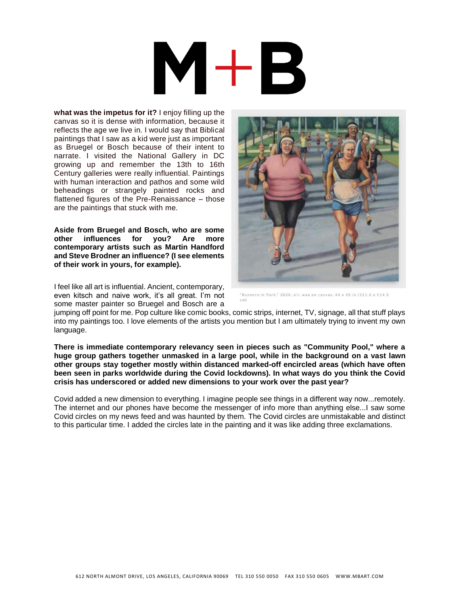**what was the impetus for it?** I enjoy filling up the canvas so it is dense with information, because it reflects the age we live in. I would say that Biblical paintings that I saw as a kid were just as important as Bruegel or Bosch because of their intent to narrate. I visited the National Gallery in DC growing up and remember the 13th to 16th Century galleries were really influential. Paintings with human interaction and pathos and some wild beheadings or strangely painted rocks and flattened figures of the Pre-Renaissance – those are the paintings that stuck with me.

**Aside from Bruegel and Bosch, who are some other influences for you? Are more contemporary artists such as Martin Handford and Steve Brodner an influence? (I see elements of their work in yours, for example).** 

I feel like all art is influential. Ancient, contemporary, even kitsch and naive work, it's all great. I'm not some master painter so Bruegel and Bosch are a



\*Runners in Park,\* 2020, oil, wax on canvas, 44 x 45 in (111.8 x 114.3)

jumping off point for me. Pop culture like comic books, comic strips, internet, TV, signage, all that stuff plays into my paintings too. I love elements of the artists you mention but I am ultimately trying to invent my own language.

**There is immediate contemporary relevancy seen in pieces such as "Community Pool," where a huge group gathers together unmasked in a large pool, while in the background on a vast lawn other groups stay together mostly within distanced marked-off encircled areas (which have often been seen in parks worldwide during the Covid lockdowns). In what ways do you think the Covid crisis has underscored or added new dimensions to your work over the past year?** 

Covid added a new dimension to everything. I imagine people see things in a different way now...remotely. The internet and our phones have become the messenger of info more than anything else...I saw some Covid circles on my news feed and was haunted by them. The Covid circles are unmistakable and distinct to this particular time. I added the circles late in the painting and it was like adding three exclamations.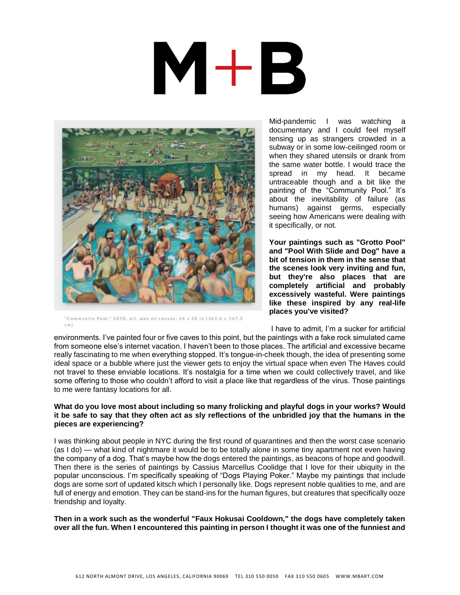## $M+B$



"Community Pool," 2020, oil, wax on canvas, 64 x 58 in (162.6 x 147.3  $\epsilon$ m)

Mid-pandemic I was watching a documentary and I could feel myself tensing up as strangers crowded in a subway or in some low-ceilinged room or when they shared utensils or drank from the same water bottle. I would trace the spread in my head. It became untraceable though and a bit like the painting of the "Community Pool." It's about the inevitability of failure (as humans) against germs, especially seeing how Americans were dealing with it specifically, or not.

**Your paintings such as "Grotto Pool" and "Pool With Slide and Dog" have a bit of tension in them in the sense that the scenes look very inviting and fun, but they're also places that are completely artificial and probably excessively wasteful. Were paintings like these inspired by any real-life places you've visited?**

I have to admit, I'm a sucker for artificial

environments. I've painted four or five caves to this point, but the paintings with a fake rock simulated came from someone else's internet vacation. I haven't been to those places. The artificial and excessive became really fascinating to me when everything stopped. It's tongue-in-cheek though, the idea of presenting some ideal space or a bubble where just the viewer gets to enjoy the virtual space when even The Haves could not travel to these enviable locations. It's nostalgia for a time when we could collectively travel, and like some offering to those who couldn't afford to visit a place like that regardless of the virus. Those paintings to me were fantasy locations for all.

### **What do you love most about including so many frolicking and playful dogs in your works? Would it be safe to say that they often act as sly reflections of the unbridled joy that the humans in the pieces are experiencing?**

I was thinking about people in NYC during the first round of quarantines and then the worst case scenario (as I do) — what kind of nightmare it would be to be totally alone in some tiny apartment not even having the company of a dog. That's maybe how the dogs entered the paintings, as beacons of hope and goodwill. Then there is the series of paintings by Cassius Marcellus Coolidge that I love for their ubiquity in the popular unconscious. I'm specifically speaking of "Dogs Playing Poker." Maybe my paintings that include dogs are some sort of updated kitsch which I personally like. Dogs represent noble qualities to me, and are full of energy and emotion. They can be stand-ins for the human figures, but creatures that specifically ooze friendship and loyalty.

**Then in a work such as the wonderful "Faux Hokusai Cooldown," the dogs have completely taken over all the fun. When I encountered this painting in person I thought it was one of the funniest and**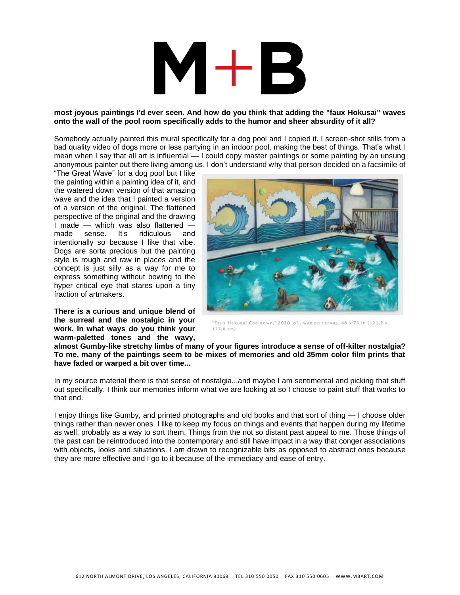### $\mathsf{M+R}$

### **most joyous paintings I'd ever seen. And how do you think that adding the "faux Hokusai" waves onto the wall of the pool room specifically adds to the humor and sheer absurdity of it all?**

Somebody actually painted this mural specifically for a dog pool and I copied it. I screen-shot stills from a bad quality video of dogs more or less partying in an indoor pool, making the best of things. That's what I mean when I say that all art is influential — I could copy master paintings or some painting by an unsung anonymous painter out there living among us. I don't understand why that person decided on a facsimile of

"The Great Wave" for a dog pool but I like the painting within a painting idea of it, and the watered down version of that amazing wave and the idea that I painted a version of a version of the original. The flattened perspective of the original and the drawing I made — which was also flattened —<br>made sense. It's ridiculous and made sense. It's ridiculous intentionally so because I like that vibe. Dogs are sorta precious but the painting style is rough and raw in places and the concept is just silly as a way for me to express something without bowing to the hyper critical eye that stares upon a tiny fraction of artmakers.

**There is a curious and unique blend of the surreal and the nostalgic in your work. In what ways do you think your warm-paletted tones and the wavy,** 



"Faux Hokusai Cooldown," 2020, oil, wax on canvas, 48 x 70 in (121.9 x 177.8 cm)

**almost Gumby-like stretchy limbs of many of your figures introduce a sense of off-kilter nostalgia? To me, many of the paintings seem to be mixes of memories and old 35mm color film prints that have faded or warped a bit over time...** 

In my source material there is that sense of nostalgia...and maybe I am sentimental and picking that stuff out specifically. I think our memories inform what we are looking at so I choose to paint stuff that works to that end.

I enjoy things like Gumby, and printed photographs and old books and that sort of thing — I choose older things rather than newer ones. I like to keep my focus on things and events that happen during my lifetime as well, probably as a way to sort them. Things from the not so distant past appeal to me. Those things of the past can be reintroduced into the contemporary and still have impact in a way that conger associations with objects, looks and situations. I am drawn to recognizable bits as opposed to abstract ones because they are more effective and I go to it because of the immediacy and ease of entry.